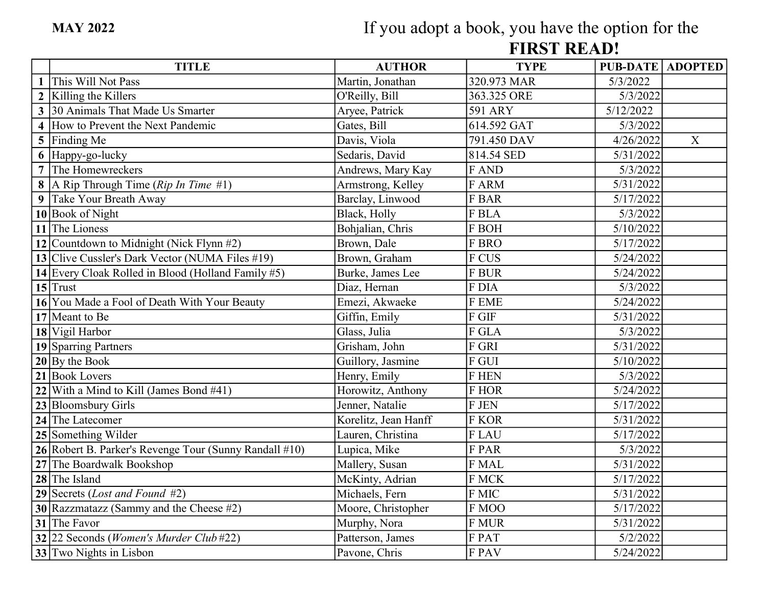## FIRST READ! If you adopt a book, you have the option for the

| <b>TITLE</b>                                           | <b>AUTHOR</b>        | <b>TYPE</b>  | PUB-DATE ADOPTED       |                  |
|--------------------------------------------------------|----------------------|--------------|------------------------|------------------|
| 1 This Will Not Pass                                   | Martin, Jonathan     | 320.973 MAR  | 5/3/2022               |                  |
| 2 Killing the Killers                                  | O'Reilly, Bill       | 363.325 ORE  | 5/3/2022               |                  |
| 3 30 Animals That Made Us Smarter                      | Aryee, Patrick       | 591 ARY      | 5/12/2022              |                  |
| 4 How to Prevent the Next Pandemic                     | Gates, Bill          | 614.592 GAT  | 5/3/2022               |                  |
| 5 Finding Me                                           | Davis, Viola         | 791.450 DAV  | 4/26/2022              | $\boldsymbol{X}$ |
| 6 Happy-go-lucky                                       | Sedaris, David       | 814.54 SED   | 5/31/2022              |                  |
| 7 The Homewreckers                                     | Andrews, Mary Kay    | F AND        | 5/3/2022               |                  |
| 8   A Rip Through Time ( $Rip$ In Time #1)             | Armstrong, Kelley    | F ARM        | 5/31/2022              |                  |
| 9 Take Your Breath Away                                | Barclay, Linwood     | F BAR        | 5/17/2022              |                  |
| 10 Book of Night                                       | Black, Holly         | F BLA        | 5/3/2022               |                  |
| 11 The Lioness                                         | Bohjalian, Chris     | F BOH        | 5/10/2022              |                  |
| 12 Countdown to Midnight (Nick Flynn $#2$ )            | Brown, Dale          | F BRO        | 5/17/2022              |                  |
| 13 Clive Cussler's Dark Vector (NUMA Files #19)        | Brown, Graham        | F CUS        | 5/24/2022              |                  |
| 14 Every Cloak Rolled in Blood (Holland Family #5)     | Burke, James Lee     | <b>F BUR</b> | 5/24/2022              |                  |
| $15$ Trust                                             | Diaz, Hernan         | F DIA        | 5/3/2022               |                  |
| 16 You Made a Fool of Death With Your Beauty           | Emezi, Akwaeke       | F EME        | 5/24/2022              |                  |
| $17$ Meant to Be                                       | Giffin, Emily        | F GIF        | 5/31/2022              |                  |
| 18 Vigil Harbor                                        | Glass, Julia         | F GLA        | 5/3/2022               |                  |
| 19 Sparring Partners                                   | Grisham, John        | F GRI        | 5/31/2022              |                  |
| $20$ By the Book                                       | Guillory, Jasmine    | F GUI        | 5/10/2022              |                  |
| 21 Book Lovers                                         | Henry, Emily         | <b>F HEN</b> | 5/3/2022               |                  |
| 22 With a Mind to Kill (James Bond $#41$ )             | Horowitz, Anthony    | F HOR        | 5/24/2022              |                  |
| 23 Bloomsbury Girls                                    | Jenner, Natalie      | F JEN        | $\overline{5/17/2022}$ |                  |
| 24 The Latecomer                                       | Korelitz, Jean Hanff | <b>F KOR</b> | 5/31/2022              |                  |
| 25 Something Wilder                                    | Lauren, Christina    | F LAU        | 5/17/2022              |                  |
| 26 Robert B. Parker's Revenge Tour (Sunny Randall #10) | Lupica, Mike         | F PAR        | 5/3/2022               |                  |
| 27 The Boardwalk Bookshop                              | Mallery, Susan       | F MAL        | 5/31/2022              |                  |
| $28$ The Island                                        | McKinty, Adrian      | F MCK        | 5/17/2022              |                  |
| 29 Secrets (Lost and Found #2)                         | Michaels, Fern       | F MIC        | 5/31/2022              |                  |
| 30 Razzmatazz (Sammy and the Cheese $#2$ )             | Moore, Christopher   | F MOO        | $\overline{5/17/2022}$ |                  |
| $31$ The Favor                                         | Murphy, Nora         | F MUR        | 5/31/2022              |                  |
| 32 22 Seconds ( <i>Women's Murder Club</i> #22)        | Patterson, James     | F PAT        | 5/2/2022               |                  |
| 33 Two Nights in Lisbon                                | Pavone, Chris        | F PAV        | 5/24/2022              |                  |